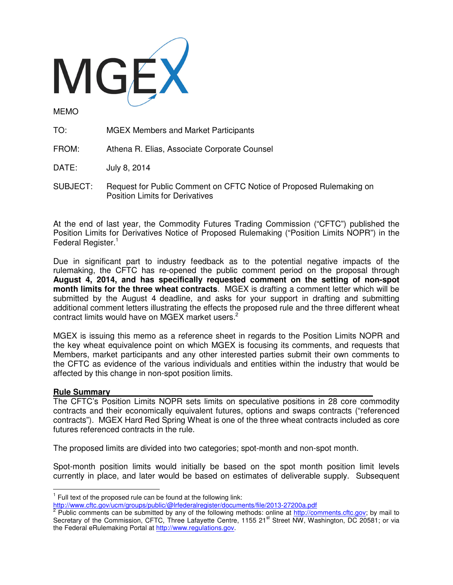

MEMO

- TO: MGEX Members and Market Participants
- FROM: Athena R. Elias, Associate Corporate Counsel

DATE: July 8, 2014

SUBJECT: Request for Public Comment on CFTC Notice of Proposed Rulemaking on Position Limits for Derivatives

At the end of last year, the Commodity Futures Trading Commission ("CFTC") published the Position Limits for Derivatives Notice of Proposed Rulemaking ("Position Limits NOPR") in the Federal Register.<sup>1</sup>

Due in significant part to industry feedback as to the potential negative impacts of the rulemaking, the CFTC has re-opened the public comment period on the proposal through **August 4, 2014, and has specifically requested comment on the setting of non-spot month limits for the three wheat contracts**. MGEX is drafting a comment letter which will be submitted by the August 4 deadline, and asks for your support in drafting and submitting additional comment letters illustrating the effects the proposed rule and the three different wheat contract limits would have on MGEX market users. $2$ 

MGEX is issuing this memo as a reference sheet in regards to the Position Limits NOPR and the key wheat equivalence point on which MGEX is focusing its comments, and requests that Members, market participants and any other interested parties submit their own comments to the CFTC as evidence of the various individuals and entities within the industry that would be affected by this change in non-spot position limits.

## **Rule Summary**

 $\overline{a}$ 

The CFTC's Position Limits NOPR sets limits on speculative positions in 28 core commodity contracts and their economically equivalent futures, options and swaps contracts ("referenced contracts"). MGEX Hard Red Spring Wheat is one of the three wheat contracts included as core futures referenced contracts in the rule.

The proposed limits are divided into two categories; spot-month and non-spot month.

Spot-month position limits would initially be based on the spot month position limit levels currently in place, and later would be based on estimates of deliverable supply. Subsequent

 $1$  Full text of the proposed rule can be found at the following link:

<sup>&</sup>lt;u>http://www.cftc.gov/ucm/groups/public/@Irfederalregister/documents/file/2013-27200a.pdf</u><br><sup>2</sup> Public comments can be submitted by any of the following methods: online at <u>http://comments.cftc.gov;</u> by mail to Secretary of the Commission, CFTC, Three Lafayette Centre, 1155 21<sup>st</sup> Street NW, Washington, DC 20581; or via the Federal eRulemaking Portal at http://www.regulations.gov.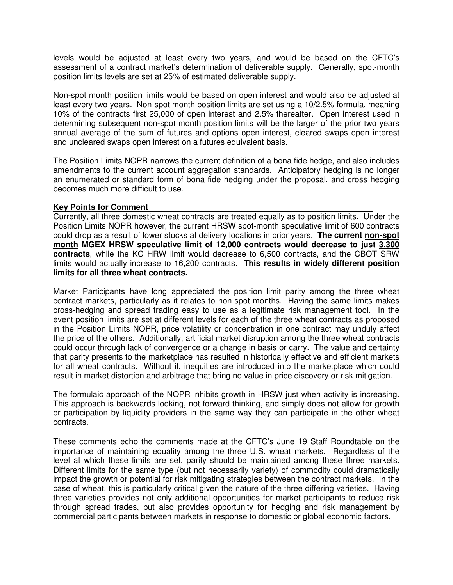levels would be adjusted at least every two years, and would be based on the CFTC's assessment of a contract market's determination of deliverable supply. Generally, spot-month position limits levels are set at 25% of estimated deliverable supply.

Non-spot month position limits would be based on open interest and would also be adjusted at least every two years. Non-spot month position limits are set using a 10/2.5% formula, meaning 10% of the contracts first 25,000 of open interest and 2.5% thereafter. Open interest used in determining subsequent non-spot month position limits will be the larger of the prior two years annual average of the sum of futures and options open interest, cleared swaps open interest and uncleared swaps open interest on a futures equivalent basis.

The Position Limits NOPR narrows the current definition of a bona fide hedge, and also includes amendments to the current account aggregation standards. Anticipatory hedging is no longer an enumerated or standard form of bona fide hedging under the proposal, and cross hedging becomes much more difficult to use.

## **Key Points for Comment**

Currently, all three domestic wheat contracts are treated equally as to position limits. Under the Position Limits NOPR however, the current HRSW spot-month speculative limit of 600 contracts could drop as a result of lower stocks at delivery locations in prior years. **The current non-spot month MGEX HRSW speculative limit of 12,000 contracts would decrease to just 3,300 contracts**, while the KC HRW limit would decrease to 6,500 contracts, and the CBOT SRW limits would actually increase to 16,200 contracts. **This results in widely different position limits for all three wheat contracts.** 

Market Participants have long appreciated the position limit parity among the three wheat contract markets, particularly as it relates to non-spot months. Having the same limits makes cross-hedging and spread trading easy to use as a legitimate risk management tool. In the event position limits are set at different levels for each of the three wheat contracts as proposed in the Position Limits NOPR, price volatility or concentration in one contract may unduly affect the price of the others. Additionally, artificial market disruption among the three wheat contracts could occur through lack of convergence or a change in basis or carry. The value and certainty that parity presents to the marketplace has resulted in historically effective and efficient markets for all wheat contracts. Without it, inequities are introduced into the marketplace which could result in market distortion and arbitrage that bring no value in price discovery or risk mitigation.

The formulaic approach of the NOPR inhibits growth in HRSW just when activity is increasing. This approach is backwards looking, not forward thinking, and simply does not allow for growth or participation by liquidity providers in the same way they can participate in the other wheat contracts.

These comments echo the comments made at the CFTC's June 19 Staff Roundtable on the importance of maintaining equality among the three U.S. wheat markets. Regardless of the level at which these limits are set, parity should be maintained among these three markets. Different limits for the same type (but not necessarily variety) of commodity could dramatically impact the growth or potential for risk mitigating strategies between the contract markets. In the case of wheat, this is particularly critical given the nature of the three differing varieties. Having three varieties provides not only additional opportunities for market participants to reduce risk through spread trades, but also provides opportunity for hedging and risk management by commercial participants between markets in response to domestic or global economic factors.